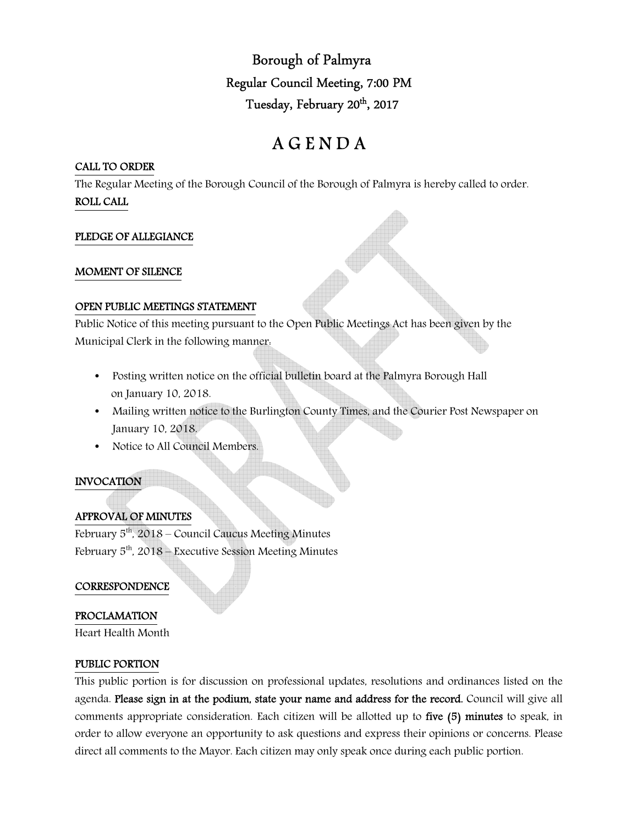Borough of Palmyra Regular Council Meeting, 7:00 PM Tuesday, February 20<sup>th</sup>, 2017

# A G E N D A

#### CALL TO ORDER

The Regular Meeting of the Borough Council of the Borough of Palmyra is hereby called to order. ROLL CALL

## PLEDGE OF ALLEGIANCE

#### MOMENT OF SILENCE

#### OPEN PUBLIC MEETINGS STATEMENT

Public Notice of this meeting pursuant to the Open Public Meetings Act has been given by the Municipal Clerk in the following manner:

- Posting written notice on the official bulletin board at the Palmyra Borough Hall on January 10, 2018.
- Mailing written notice to the Burlington County Times, and the Courier Post Newspaper on January 10, 2018.
- Notice to All Council Members.

# INVOCATION

# APPROVAL OF MINUTES

February  $5<sup>th</sup>$ , 2018 – Council Caucus Meeting Minutes February  $5<sup>th</sup>$ , 2018 – Executive Session Meeting Minutes

## **CORRESPONDENCE**

## PROCLAMATION

Heart Health Month

## PUBLIC PORTION

This public portion is for discussion on professional updates, resolutions and ordinances listed on the agenda. Please sign in at the podium, state your name and address for the record. Council will give all comments appropriate consideration. Each citizen will be allotted up to five (5) minutes to speak, in order to allow everyone an opportunity to ask questions and express their opinions or concerns. Please direct all comments to the Mayor. Each citizen may only speak once during each public portion.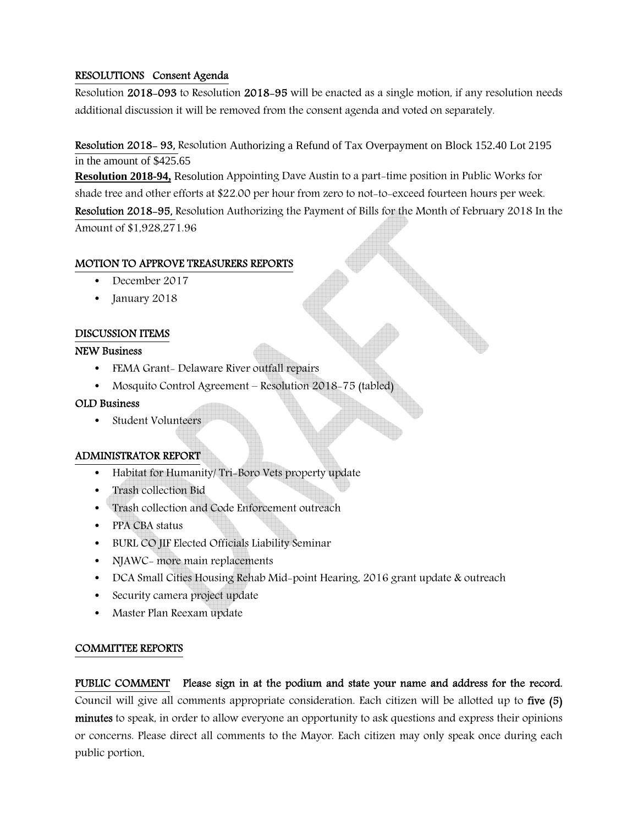## RESOLUTIONS Consent Agenda

Resolution 2018-093 to Resolution 2018-95 will be enacted as a single motion, if any resolution needs additional discussion it will be removed from the consent agenda and voted on separately.

Resolution 2018- 93, Resolution Authorizing a Refund of Tax Overpayment on Block 152.40 Lot 2195 in the amount of \$425.65

**Resolution 2018-94,** Resolution Appointing Dave Austin to a part-time position in Public Works for shade tree and other efforts at \$22.00 per hour from zero to not-to-exceed fourteen hours per week. Resolution 2018-95, Resolution Authorizing the Payment of Bills for the Month of February 2018 In the Amount of \$1,928,271.96

## MOTION TO APPROVE TREASURERS REPORTS

- December 2017
- January 2018

## DISCUSSION ITEMS

#### NEW Business

- FEMA Grant- Delaware River outfall repairs
- Mosquito Control Agreement Resolution 2018-75 (tabled)

#### OLD Business

• Student Volunteers

## ADMINISTRATOR REPORT

- Habitat for Humanity/ Tri-Boro Vets property update
- Trash collection Bid
- Trash collection and Code Enforcement outreach
- PPA CBA status
- BURL CO JIF Elected Officials Liability Seminar
- NJAWC- more main replacements
- DCA Small Cities Housing Rehab Mid-point Hearing, 2016 grant update & outreach
- Security camera project update
- Master Plan Reexam update

## COMMITTEE REPORTS

PUBLIC COMMENT Please sign in at the podium and state your name and address for the record. Council will give all comments appropriate consideration. Each citizen will be allotted up to five (5) minutes to speak, in order to allow everyone an opportunity to ask questions and express their opinions or concerns. Please direct all comments to the Mayor. Each citizen may only speak once during each public portion.